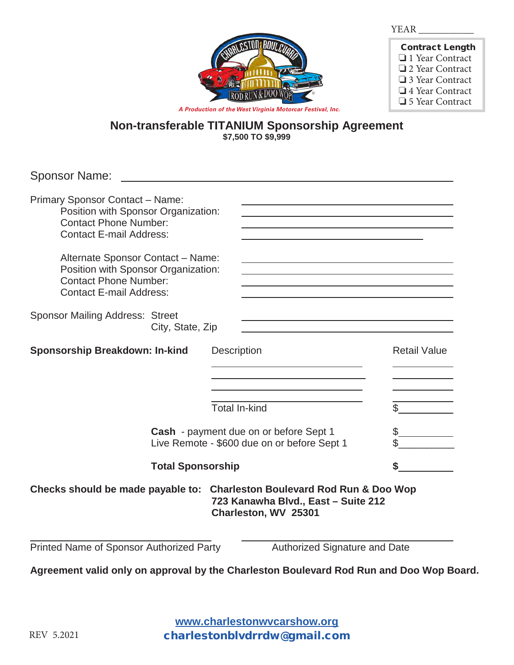

| <b>Contract Length</b> |
|------------------------|
| $\Box$ 1 Year Contract |
| $\Box$ 2 Year Contract |
| $\Box$ 3 Year Contract |
| $\Box$ 4 Year Contract |
| $\Box$ 5 Year Contract |

**Non-transferable TITANIUM Sponsorship Agreement \$7,500 TO \$9,999**

| <b>Sponsor Name:</b>                                                                                                                                                                                                                                                                   |                                                                                                                                                                                                                                                                |                     |
|----------------------------------------------------------------------------------------------------------------------------------------------------------------------------------------------------------------------------------------------------------------------------------------|----------------------------------------------------------------------------------------------------------------------------------------------------------------------------------------------------------------------------------------------------------------|---------------------|
| Primary Sponsor Contact - Name:<br>Position with Sponsor Organization:<br><b>Contact Phone Number:</b><br><b>Contact E-mail Address:</b><br>Alternate Sponsor Contact - Name:<br>Position with Sponsor Organization:<br><b>Contact Phone Number:</b><br><b>Contact E-mail Address:</b> | and the control of the control of the control of the control of the control of the control of the control of the<br><u> 1989 - Johann Barbara, martxa alemaniar amerikan personal (h. 1989).</u><br><u> 1989 - Johann Barbara, martxa alemaniar amerikan a</u> |                     |
| <b>Sponsor Mailing Address: Street</b><br>City, State, Zip                                                                                                                                                                                                                             |                                                                                                                                                                                                                                                                |                     |
| <b>Sponsorship Breakdown: In-kind</b>                                                                                                                                                                                                                                                  | <b>Description</b><br>the contract of the contract of the contract of the contract of the contract of<br><b>Total In-kind</b>                                                                                                                                  | <b>Retail Value</b> |
| Cash - payment due on or before Sept 1<br>Live Remote - \$600 due on or before Sept 1                                                                                                                                                                                                  |                                                                                                                                                                                                                                                                |                     |
| <b>Total Sponsorship</b>                                                                                                                                                                                                                                                               |                                                                                                                                                                                                                                                                | \$                  |
| Checks should be made payable to: Charleston Boulevard Rod Run & Doo Wop                                                                                                                                                                                                               | 723 Kanawha Blvd., East - Suite 212<br>Charleston, WV 25301                                                                                                                                                                                                    |                     |
| Printed Name of Sponsor Authorized Party                                                                                                                                                                                                                                               | Authorized Signature and Date                                                                                                                                                                                                                                  |                     |
| Agreement valid only on approval by the Charleston Boulevard Rod Run and Doo Wop Board.                                                                                                                                                                                                |                                                                                                                                                                                                                                                                |                     |

**www.charlestonwvcarshow.com www.charlestonwvcarshow.org** charlestonblvdrrdw@gmail.com